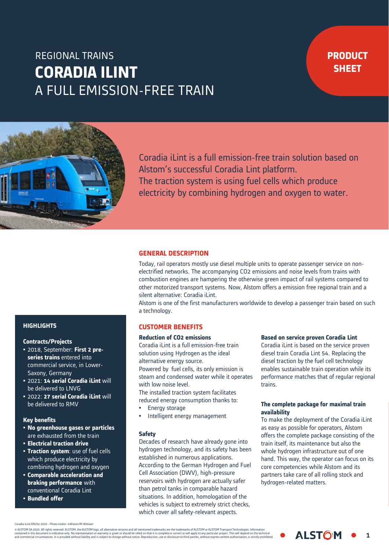# **CORADIA ILINT** A FULL EMISSION-FREE TRAIN REGIONAL TRAINS

## **PRODUCT SHEET**



Coradia il int is a full emission-free train solution based on Alstom's successful Coradia Lint platform. The traction system is using fuel cells which produce electricity by combining hydrogen and oxygen to water.

#### **GENERAL DESCRIPTION**

Today, rail operators mostly use diesel multiple units to operate passenger service on nonelectrified networks. The accompanying CO2 emissions and noise levels from trains with combustion engines are hampering the otherwise green impact of rail systems compared to other motorized transport systems. Now, Alstom offers a emission free regional train and a silent alternative: Coradia iLint.

Alstom is one of the first manufacturers worldwide to develop a passenger train based on such a technology.

#### **CUSTOMER BENEFITS**

Coradia iLint is a full emission-free train solution using Hydrogen as the ideal alternative energy source.

Powered by fuel cells, its only emission is steam and condensed water while it operates with low noise level.

The installed traction system facilitates reduced energy consumption thanks to:

- Energy storage
- Intelligent energy management

#### **Safety**

Decades of research have already gone into hydrogen technology, and its safety has been established in numerous applications. According to the German Hydrogen and Fuel Cell Association (DWV), high-pressure reservoirs with hydrogen are actually safer than petrol tanks in comparable hazard situations. In addition, homologation of the vehicles is subject to extremely strict checks, which cover all safety-relevant aspects.

#### **Reduction of CO2 emissions Based on service proven Coradia Lint**

Coradia iLint is based on the service proven diesel train Coradia Lint 54. Replacing the diesel traction by the fuel cell technology enables sustainable train operation while its performance matches that of regular regional trains.

#### **The complete package for maximal train availability**

**FOR MORE**  offers the complete package consisting of the **Also** whole hydrogen infrastructure out of one hand. This way, the operator can focus on its core competencies while Alstom and its partners take care of all rolling stock and .<br>hydrogen-related matters. To make the deployment of the Coradia iLint as easy as possible for operators, Alstom train itself, its maintenance but also the

**ALSTOM** 

1

### **HIGHLIGHTS**

#### **Contracts/Projects**

- 2018, September: **First 2 preseries trains** entered into commercial service, in Lower-Saxony, Germany
- 2021: **14 serial Coradia iLint** will be delivered to LNVG
- 2022: **27 serial Coradia iLint** will be delivered to RMV

#### **Key benefits**

- **No greenhouse gases or particles**  are exhausted from the train
- **Electrical traction drive**
- **Traction system**: use of fuel cells which produce electricity by combining hydrogen and oxygen
- **Comparable acceleration and braking performance** with conventional Coradia Lint
- **Bundled offer**

Coradia iLint/EN/01.2020 - Photo credits: @Alstom/M.Witt

© ALSTOM SA 2020. All rights reserved. ALSTOM, the ALSTOM logo, all alternative versions and all mentioned trademarks are the trademarks of ALSTOM or ALSTOM Transport Technologies. Information<br>contained in this document is